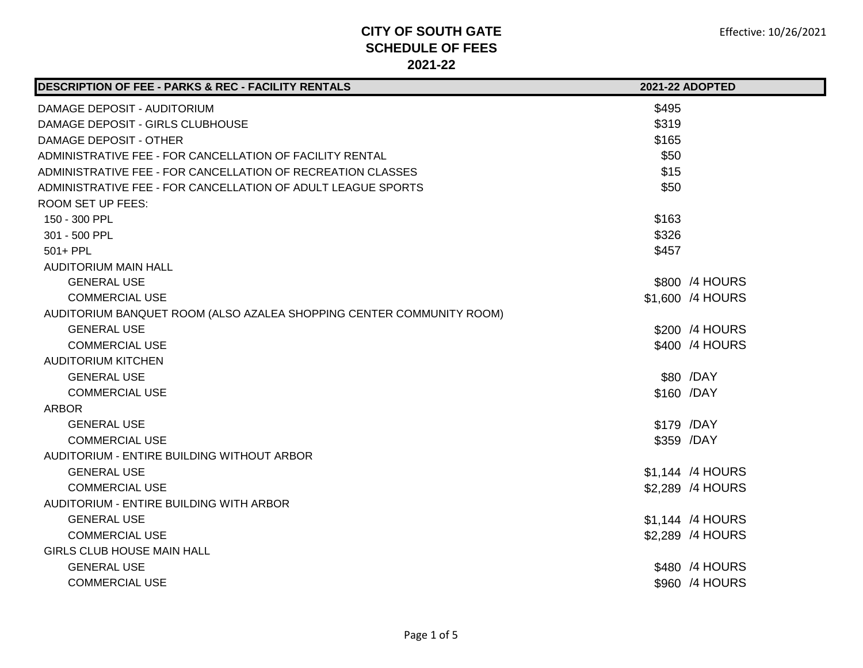| DESCRIPTION OF FEE - PARKS & REC - FACILITY RENTALS                  |       | 2021-22 ADOPTED  |
|----------------------------------------------------------------------|-------|------------------|
| DAMAGE DEPOSIT - AUDITORIUM                                          | \$495 |                  |
| DAMAGE DEPOSIT - GIRLS CLUBHOUSE                                     | \$319 |                  |
| <b>DAMAGE DEPOSIT - OTHER</b>                                        | \$165 |                  |
| ADMINISTRATIVE FEE - FOR CANCELLATION OF FACILITY RENTAL             | \$50  |                  |
| ADMINISTRATIVE FEE - FOR CANCELLATION OF RECREATION CLASSES          | \$15  |                  |
| ADMINISTRATIVE FEE - FOR CANCELLATION OF ADULT LEAGUE SPORTS         | \$50  |                  |
| <b>ROOM SET UP FEES:</b>                                             |       |                  |
| 150 - 300 PPL                                                        | \$163 |                  |
| 301 - 500 PPL                                                        | \$326 |                  |
| 501+ PPL                                                             | \$457 |                  |
| <b>AUDITORIUM MAIN HALL</b>                                          |       |                  |
| <b>GENERAL USE</b>                                                   |       | \$800 /4 HOURS   |
| <b>COMMERCIAL USE</b>                                                |       | \$1,600 /4 HOURS |
| AUDITORIUM BANQUET ROOM (ALSO AZALEA SHOPPING CENTER COMMUNITY ROOM) |       |                  |
| <b>GENERAL USE</b>                                                   |       | \$200 /4 HOURS   |
| <b>COMMERCIAL USE</b>                                                |       | \$400 /4 HOURS   |
| <b>AUDITORIUM KITCHEN</b>                                            |       |                  |
| <b>GENERAL USE</b>                                                   |       | \$80 /DAY        |
| <b>COMMERCIAL USE</b>                                                |       | \$160 /DAY       |
| <b>ARBOR</b>                                                         |       |                  |
| <b>GENERAL USE</b>                                                   |       | \$179 /DAY       |
| <b>COMMERCIAL USE</b>                                                |       | \$359 /DAY       |
| AUDITORIUM - ENTIRE BUILDING WITHOUT ARBOR                           |       |                  |
| <b>GENERAL USE</b>                                                   |       | \$1,144 /4 HOURS |
| <b>COMMERCIAL USE</b>                                                |       | \$2,289 /4 HOURS |
| AUDITORIUM - ENTIRE BUILDING WITH ARBOR                              |       |                  |
| <b>GENERAL USE</b>                                                   |       | \$1,144 /4 HOURS |
| <b>COMMERCIAL USE</b>                                                |       | \$2,289 /4 HOURS |
| <b>GIRLS CLUB HOUSE MAIN HALL</b>                                    |       |                  |
| <b>GENERAL USE</b>                                                   |       | \$480 /4 HOURS   |
| <b>COMMERCIAL USE</b>                                                |       | \$960 /4 HOURS   |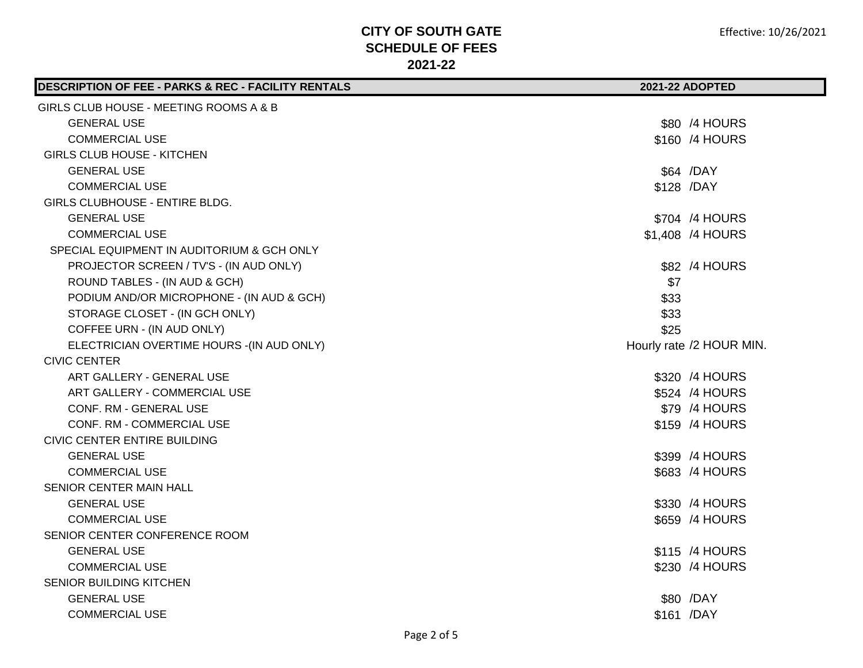| DESCRIPTION OF FEE - PARKS & REC - FACILITY RENTALS | 2021-22 ADOPTED          |
|-----------------------------------------------------|--------------------------|
| GIRLS CLUB HOUSE - MEETING ROOMS A & B              |                          |
| <b>GENERAL USE</b>                                  | \$80 /4 HOURS            |
| <b>COMMERCIAL USE</b>                               | \$160 /4 HOURS           |
| <b>GIRLS CLUB HOUSE - KITCHEN</b>                   |                          |
| <b>GENERAL USE</b>                                  | \$64 /DAY                |
| <b>COMMERCIAL USE</b>                               | \$128 /DAY               |
| GIRLS CLUBHOUSE - ENTIRE BLDG.                      |                          |
| <b>GENERAL USE</b>                                  | \$704 /4 HOURS           |
| <b>COMMERCIAL USE</b>                               | \$1,408 /4 HOURS         |
| SPECIAL EQUIPMENT IN AUDITORIUM & GCH ONLY          |                          |
| PROJECTOR SCREEN / TV'S - (IN AUD ONLY)             | \$82 /4 HOURS            |
| ROUND TABLES - (IN AUD & GCH)                       | \$7                      |
| PODIUM AND/OR MICROPHONE - (IN AUD & GCH)           | \$33                     |
| STORAGE CLOSET - (IN GCH ONLY)                      | \$33                     |
| COFFEE URN - (IN AUD ONLY)                          | \$25                     |
| ELECTRICIAN OVERTIME HOURS - (IN AUD ONLY)          | Hourly rate /2 HOUR MIN. |
| <b>CIVIC CENTER</b>                                 |                          |
| ART GALLERY - GENERAL USE                           | \$320 /4 HOURS           |
| ART GALLERY - COMMERCIAL USE                        | \$524 /4 HOURS           |
| <b>CONF. RM - GENERAL USE</b>                       | \$79 /4 HOURS            |
| <b>CONF. RM - COMMERCIAL USE</b>                    | \$159 /4 HOURS           |
| <b>CIVIC CENTER ENTIRE BUILDING</b>                 |                          |
| <b>GENERAL USE</b>                                  | \$399 /4 HOURS           |
| <b>COMMERCIAL USE</b>                               | \$683 /4 HOURS           |
| SENIOR CENTER MAIN HALL                             |                          |
| <b>GENERAL USE</b>                                  | \$330 /4 HOURS           |
| <b>COMMERCIAL USE</b>                               | \$659 /4 HOURS           |
| SENIOR CENTER CONFERENCE ROOM                       |                          |
| <b>GENERAL USE</b>                                  | \$115 /4 HOURS           |
| <b>COMMERCIAL USE</b>                               | \$230 /4 HOURS           |
| SENIOR BUILDING KITCHEN                             |                          |
| <b>GENERAL USE</b>                                  | \$80 /DAY                |
| <b>COMMERCIAL USE</b>                               | \$161 /DAY               |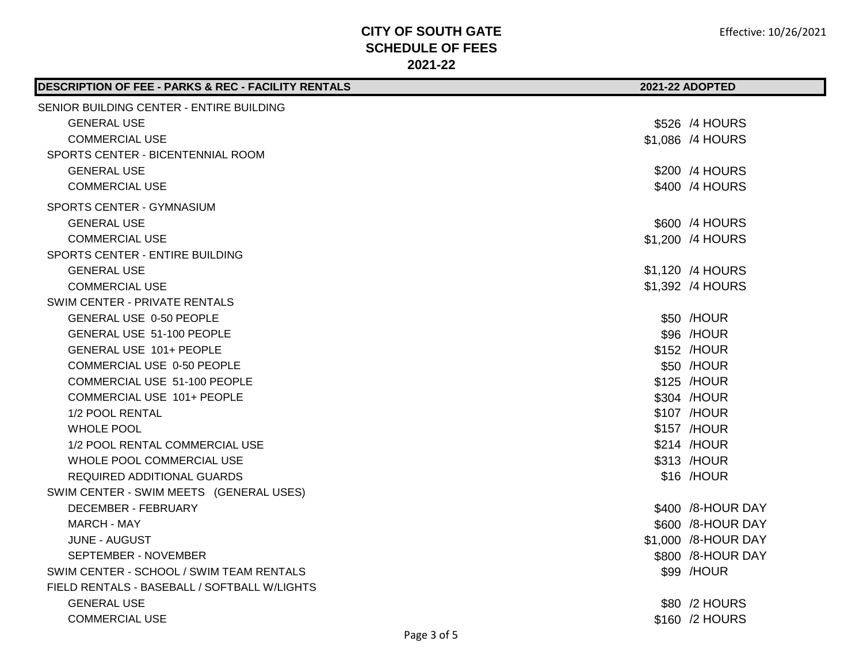| <b>DESCRIPTION OF FEE - PARKS &amp; REC - FACILITY RENTALS</b> | <b>2021-22 ADOPTED</b> |                     |
|----------------------------------------------------------------|------------------------|---------------------|
| SENIOR BUILDING CENTER - ENTIRE BUILDING                       |                        |                     |
| <b>GENERAL USE</b>                                             |                        | \$526 /4 HOURS      |
| <b>COMMERCIAL USE</b>                                          |                        | \$1,086 /4 HOURS    |
| SPORTS CENTER - BICENTENNIAL ROOM                              |                        |                     |
| <b>GENERAL USE</b>                                             |                        | \$200 /4 HOURS      |
| <b>COMMERCIAL USE</b>                                          |                        | \$400 /4 HOURS      |
| SPORTS CENTER - GYMNASIUM                                      |                        |                     |
| <b>GENERAL USE</b>                                             |                        | \$600 /4 HOURS      |
| <b>COMMERCIAL USE</b>                                          |                        | \$1,200 /4 HOURS    |
| SPORTS CENTER - ENTIRE BUILDING                                |                        |                     |
| <b>GENERAL USE</b>                                             |                        | \$1,120 /4 HOURS    |
| <b>COMMERCIAL USE</b>                                          |                        | \$1,392 /4 HOURS    |
| SWIM CENTER - PRIVATE RENTALS                                  |                        |                     |
| <b>GENERAL USE 0-50 PEOPLE</b>                                 |                        | \$50 /HOUR          |
| GENERAL USE 51-100 PEOPLE                                      |                        | \$96 /HOUR          |
| GENERAL USE 101+ PEOPLE                                        |                        | \$152 /HOUR         |
| COMMERCIAL USE 0-50 PEOPLE                                     |                        | \$50 /HOUR          |
| COMMERCIAL USE 51-100 PEOPLE                                   |                        | \$125 /HOUR         |
| COMMERCIAL USE 101+ PEOPLE                                     |                        | \$304 /HOUR         |
| 1/2 POOL RENTAL                                                |                        | \$107 /HOUR         |
| <b>WHOLE POOL</b>                                              |                        | \$157 /HOUR         |
| 1/2 POOL RENTAL COMMERCIAL USE                                 |                        | \$214 /HOUR         |
| WHOLE POOL COMMERCIAL USE                                      |                        | \$313 /HOUR         |
| REQUIRED ADDITIONAL GUARDS                                     |                        | \$16 /HOUR          |
| SWIM CENTER - SWIM MEETS (GENERAL USES)                        |                        |                     |
| DECEMBER - FEBRUARY                                            |                        | \$400 /8-HOUR DAY   |
| MARCH - MAY                                                    |                        | \$600 /8-HOUR DAY   |
| JUNE - AUGUST                                                  |                        | \$1,000 /8-HOUR DAY |
| SEPTEMBER - NOVEMBER                                           |                        | \$800 /8-HOUR DAY   |
| SWIM CENTER - SCHOOL / SWIM TEAM RENTALS                       |                        | \$99 /HOUR          |
| FIELD RENTALS - BASEBALL / SOFTBALL W/LIGHTS                   |                        |                     |
| <b>GENERAL USE</b>                                             |                        | \$80 /2 HOURS       |
| <b>COMMERCIAL USE</b>                                          |                        | \$160 /2 HOURS      |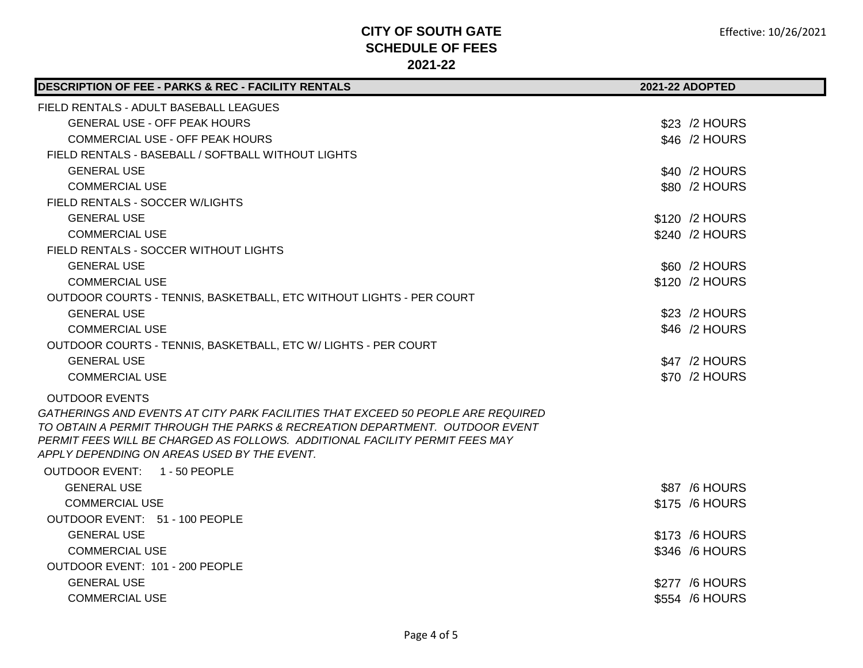| DESCRIPTION OF FEE - PARKS & REC - FACILITY RENTALS                                                                                                                                                                                            | 2021-22 ADOPTED |
|------------------------------------------------------------------------------------------------------------------------------------------------------------------------------------------------------------------------------------------------|-----------------|
| FIELD RENTALS - ADULT BASEBALL LEAGUES                                                                                                                                                                                                         |                 |
| <b>GENERAL USE - OFF PEAK HOURS</b>                                                                                                                                                                                                            | \$23 /2 HOURS   |
| <b>COMMERCIAL USE - OFF PEAK HOURS</b>                                                                                                                                                                                                         | \$46 /2 HOURS   |
| FIELD RENTALS - BASEBALL / SOFTBALL WITHOUT LIGHTS                                                                                                                                                                                             |                 |
| <b>GENERAL USE</b>                                                                                                                                                                                                                             | \$40 /2 HOURS   |
| <b>COMMERCIAL USE</b>                                                                                                                                                                                                                          | \$80 /2 HOURS   |
| FIELD RENTALS - SOCCER W/LIGHTS                                                                                                                                                                                                                |                 |
| <b>GENERAL USE</b>                                                                                                                                                                                                                             | \$120 /2 HOURS  |
| <b>COMMERCIAL USE</b>                                                                                                                                                                                                                          | \$240 /2 HOURS  |
| FIELD RENTALS - SOCCER WITHOUT LIGHTS                                                                                                                                                                                                          |                 |
| <b>GENERAL USE</b>                                                                                                                                                                                                                             | \$60 /2 HOURS   |
| <b>COMMERCIAL USE</b>                                                                                                                                                                                                                          | \$120 /2 HOURS  |
| OUTDOOR COURTS - TENNIS, BASKETBALL, ETC WITHOUT LIGHTS - PER COURT                                                                                                                                                                            |                 |
| <b>GENERAL USE</b>                                                                                                                                                                                                                             | \$23 /2 HOURS   |
| <b>COMMERCIAL USE</b>                                                                                                                                                                                                                          | \$46 /2 HOURS   |
| OUTDOOR COURTS - TENNIS, BASKETBALL, ETC W/ LIGHTS - PER COURT                                                                                                                                                                                 |                 |
| <b>GENERAL USE</b>                                                                                                                                                                                                                             | \$47 /2 HOURS   |
| <b>COMMERCIAL USE</b>                                                                                                                                                                                                                          | \$70 /2 HOURS   |
| <b>OUTDOOR EVENTS</b>                                                                                                                                                                                                                          |                 |
| GATHERINGS AND EVENTS AT CITY PARK FACILITIES THAT EXCEED 50 PEOPLE ARE REQUIRED<br>TO OBTAIN A PERMIT THROUGH THE PARKS & RECREATION DEPARTMENT. OUTDOOR EVENT<br>PERMIT FEES WILL BE CHARGED AS FOLLOWS. ADDITIONAL FACILITY PERMIT FEES MAY |                 |
| APPLY DEPENDING ON AREAS USED BY THE EVENT.                                                                                                                                                                                                    |                 |
| OUTDOOR EVENT: 1 - 50 PEOPLE                                                                                                                                                                                                                   |                 |
| <b>GENERAL USE</b>                                                                                                                                                                                                                             | \$87 /6 HOURS   |
| <b>COMMERCIAL USE</b>                                                                                                                                                                                                                          | \$175 /6 HOURS  |
| OUTDOOR EVENT: 51 - 100 PEOPLE                                                                                                                                                                                                                 |                 |
| <b>GENERAL USE</b>                                                                                                                                                                                                                             | \$173 /6 HOURS  |
| <b>COMMERCIAL USE</b>                                                                                                                                                                                                                          | \$346 /6 HOURS  |
| OUTDOOR EVENT: 101 - 200 PEOPLE                                                                                                                                                                                                                |                 |
| <b>GENERAL USE</b>                                                                                                                                                                                                                             | \$277 /6 HOURS  |
| <b>COMMERCIAL USE</b>                                                                                                                                                                                                                          | \$554 /6 HOURS  |